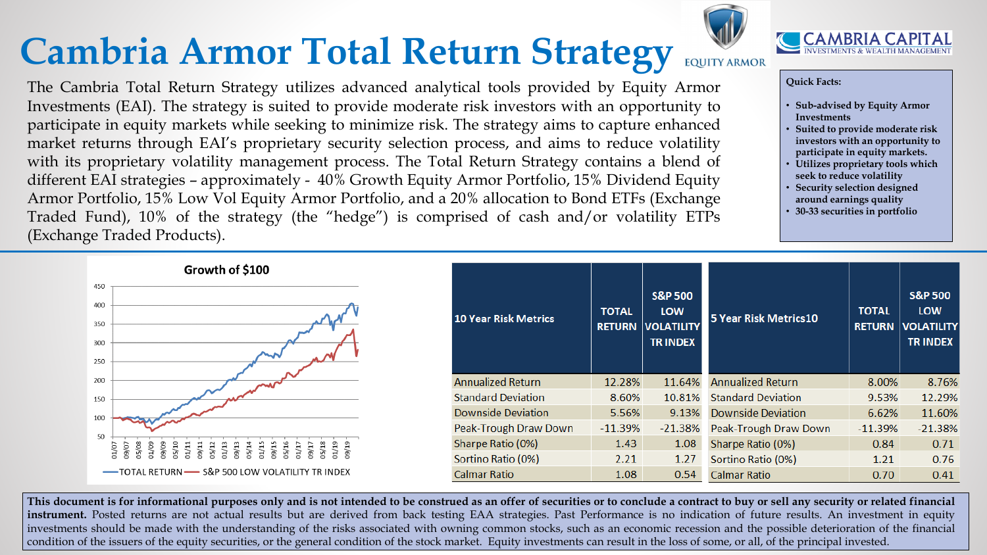## **Cambria Armor Total Return Strategy**

## **Quick Facts:**

- **Sub-advised by Equity Armor Investments**
- **Suited to provide moderate risk investors with an opportunity to participate in equity markets.**
- **Utilizes proprietary tools which seek to reduce volatility**
- **Security selection designed around earnings quality**
- **30-33 securities in portfolio**

| N             | <b>S&amp;P 500</b><br><b>LOW</b><br><b>VOLATILITY</b><br><b>TRINDEX</b> | <b>5 Year Risk Metrics10</b> | <b>TOTAL</b><br><b>RETURN</b> | <b>S&amp;P 500</b><br><b>LOW</b><br><b>VOLATILITY</b><br><b>TRINDEX</b> |
|---------------|-------------------------------------------------------------------------|------------------------------|-------------------------------|-------------------------------------------------------------------------|
| $\%$          | 11.64%                                                                  | <b>Annualized Return</b>     | 8.00%                         | 8.76%                                                                   |
| 1%            | 10.81%                                                                  | <b>Standard Deviation</b>    | 9.53%                         | 12.29%                                                                  |
| $\frac{9}{6}$ | 9.13%                                                                   | <b>Downside Deviation</b>    | 6.62%                         | 11.60%                                                                  |
| %             | $-21.38%$                                                               | Peak-Trough Draw Down        | $-11.39%$                     | $-21.38%$                                                               |
| 3             | 1.08                                                                    | Sharpe Ratio (0%)            | 0.84                          | 0.71                                                                    |
| 1             | 1.27                                                                    | Sortino Ratio (0%)           | 1.21                          | 0.76                                                                    |
| 8             | 0.54                                                                    | <b>Calmar Ratio</b>          | 0.70                          | 0.41                                                                    |

This document is for informational purposes only and is not intended to be construed as an offer of securities or to conclude a contract to buy or sell any security or related financial **instrument.** Posted returns are not actual results but are derived from back testing EAA strategies. Past Performance is no indication of future results. An investment in equity investments should be made with the understanding of the risks associated with owning common stocks, such as an economic recession and the possible deterioration of the financial condition of the issuers of the equity securities, or the general condition of the stock market. Equity investments can result in the loss of some, or all, of the principal invested.



**EQUITY ARMOR** The Cambria Total Return Strategy utilizes advanced analytical tools provided by Equity Armor Investments (EAI). The strategy is suited to provide moderate risk investors with an opportunity to participate in equity markets while seeking to minimize risk. The strategy aims to capture enhanced market returns through EAI's proprietary security selection process, and aims to reduce volatility with its proprietary volatility management process. The Total Return Strategy contains a blend of different EAI strategies – approximately - 40% Growth Equity Armor Portfolio, 15% Dividend Equity Armor Portfolio, 15% Low Vol Equity Armor Portfolio, and a 20% allocation to Bond ETFs (Exchange Traded Fund), 10% of the strategy (the "hedge") is comprised of cash and/or volatility ETPs (Exchange Traded Products).